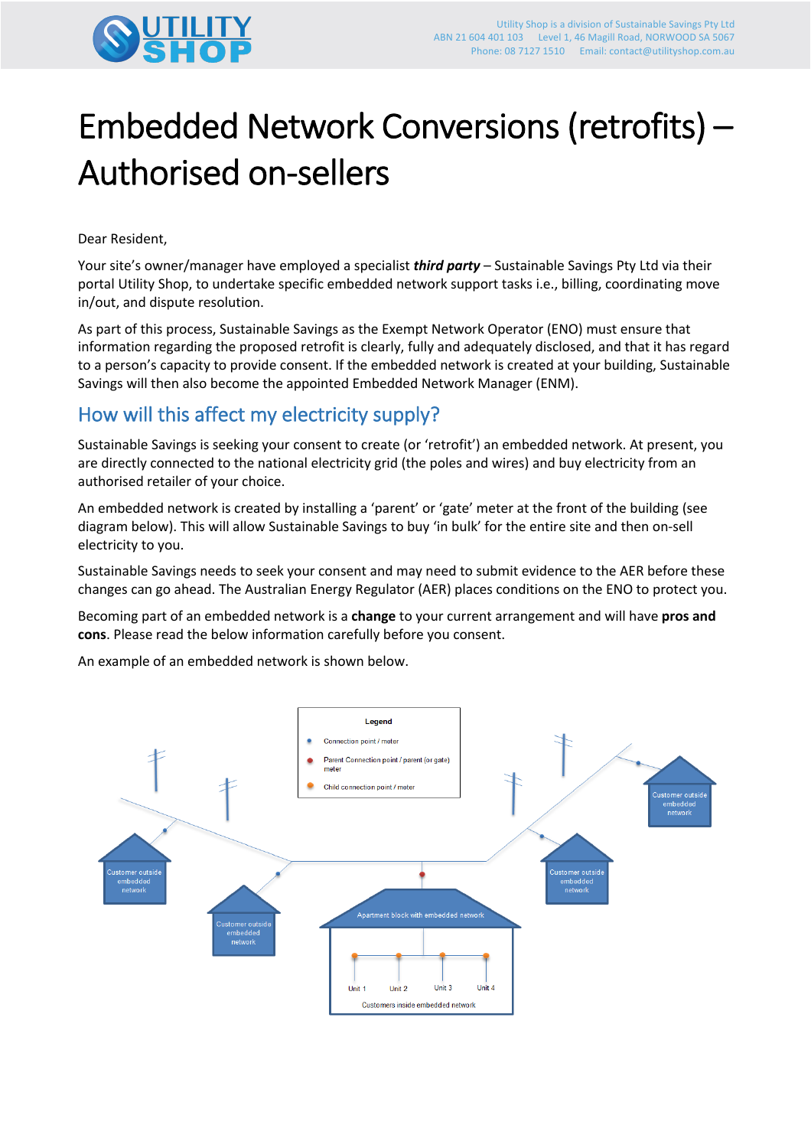

# Embedded Network Conversions (retrofits) – Authorised on-sellers

Dear Resident,

Your site's owner/manager have employed a specialist *third party* – Sustainable Savings Pty Ltd via their portal Utility Shop, to undertake specific embedded network support tasks i.e., billing, coordinating move in/out, and dispute resolution.

As part of this process, Sustainable Savings as the Exempt Network Operator (ENO) must ensure that information regarding the proposed retrofit is clearly, fully and adequately disclosed, and that it has regard to a person's capacity to provide consent. If the embedded network is created at your building, Sustainable Savings will then also become the appointed Embedded Network Manager (ENM).

## How will this affect my electricity supply?

Sustainable Savings is seeking your consent to create (or 'retrofit') an embedded network. At present, you are directly connected to the national electricity grid (the poles and wires) and buy electricity from an authorised retailer of your choice.

An embedded network is created by installing a 'parent' or 'gate' meter at the front of the building (see diagram below). This will allow Sustainable Savings to buy 'in bulk' for the entire site and then on-sell electricity to you.

Sustainable Savings needs to seek your consent and may need to submit evidence to the AER before these changes can go ahead. The Australian Energy Regulator (AER) places conditions on the ENO to protect you.

Becoming part of an embedded network is a **change** to your current arrangement and will have **pros and cons**. Please read the below information carefully before you consent.

An example of an embedded network is shown below.

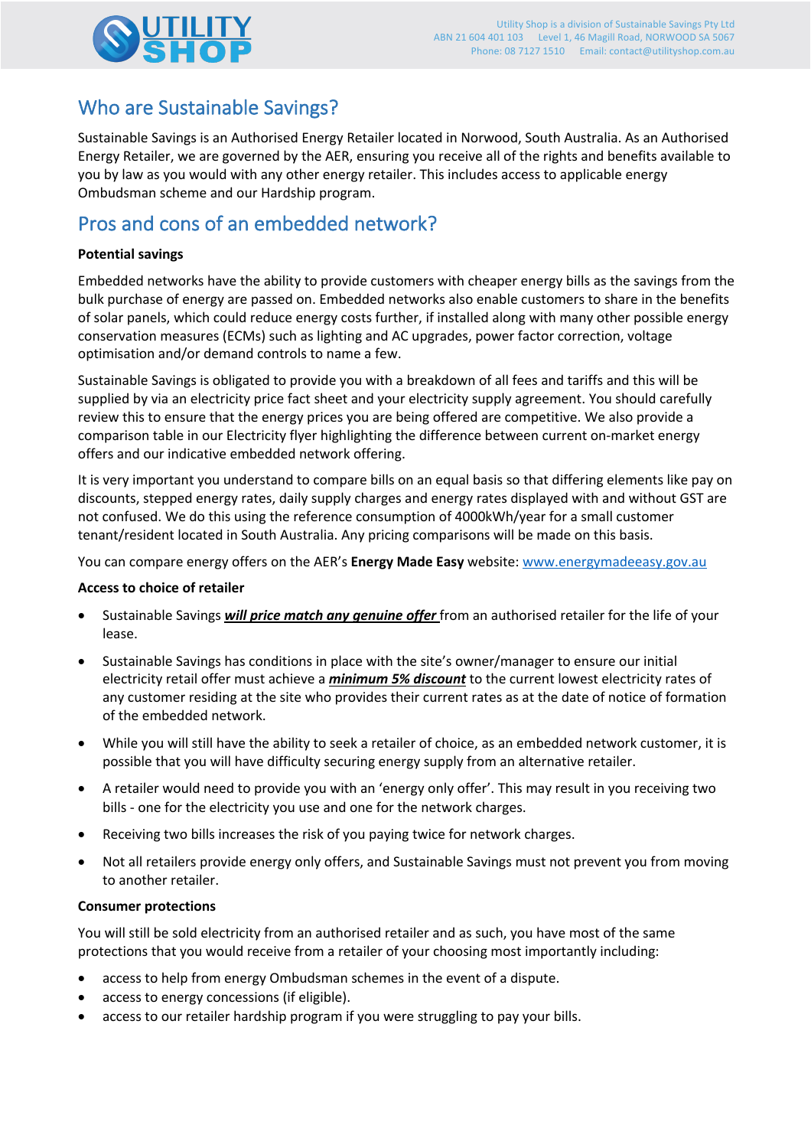

## Who are Sustainable Savings?

Sustainable Savings is an Authorised Energy Retailer located in Norwood, South Australia. As an Authorised Energy Retailer, we are governed by the AER, ensuring you receive all of the rights and benefits available to you by law as you would with any other energy retailer. This includes access to applicable energy Ombudsman scheme and our Hardship program.

## Pros and cons of an embedded network?

#### **Potential savings**

Embedded networks have the ability to provide customers with cheaper energy bills as the savings from the bulk purchase of energy are passed on. Embedded networks also enable customers to share in the benefits of solar panels, which could reduce energy costs further, if installed along with many other possible energy conservation measures (ECMs) such as lighting and AC upgrades, power factor correction, voltage optimisation and/or demand controls to name a few.

Sustainable Savings is obligated to provide you with a breakdown of all fees and tariffs and this will be supplied by via an electricity price fact sheet and your electricity supply agreement. You should carefully review this to ensure that the energy prices you are being offered are competitive. We also provide a comparison table in our Electricity flyer highlighting the difference between current on-market energy offers and our indicative embedded network offering.

It is very important you understand to compare bills on an equal basis so that differing elements like pay on discounts, stepped energy rates, daily supply charges and energy rates displayed with and without GST are not confused. We do this using the reference consumption of 4000kWh/year for a small customer tenant/resident located in South Australia. Any pricing comparisons will be made on this basis.

You can compare energy offers on the AER's **Energy Made Easy** website: www.energymadeeasy.gov.au

#### **Access to choice of retailer**

- Sustainable Savings *will price match any genuine offer* from an authorised retailer for the life of your lease.
- Sustainable Savings has conditions in place with the site's owner/manager to ensure our initial electricity retail offer must achieve a *minimum 5% discount* to the current lowest electricity rates of any customer residing at the site who provides their current rates as at the date of notice of formation of the embedded network.
- While you will still have the ability to seek a retailer of choice, as an embedded network customer, it is possible that you will have difficulty securing energy supply from an alternative retailer.
- A retailer would need to provide you with an 'energy only offer'. This may result in you receiving two bills - one for the electricity you use and one for the network charges.
- Receiving two bills increases the risk of you paying twice for network charges.
- Not all retailers provide energy only offers, and Sustainable Savings must not prevent you from moving to another retailer.

#### **Consumer protections**

You will still be sold electricity from an authorised retailer and as such, you have most of the same protections that you would receive from a retailer of your choosing most importantly including:

- access to help from energy Ombudsman schemes in the event of a dispute.
- access to energy concessions (if eligible).
- access to our retailer hardship program if you were struggling to pay your bills.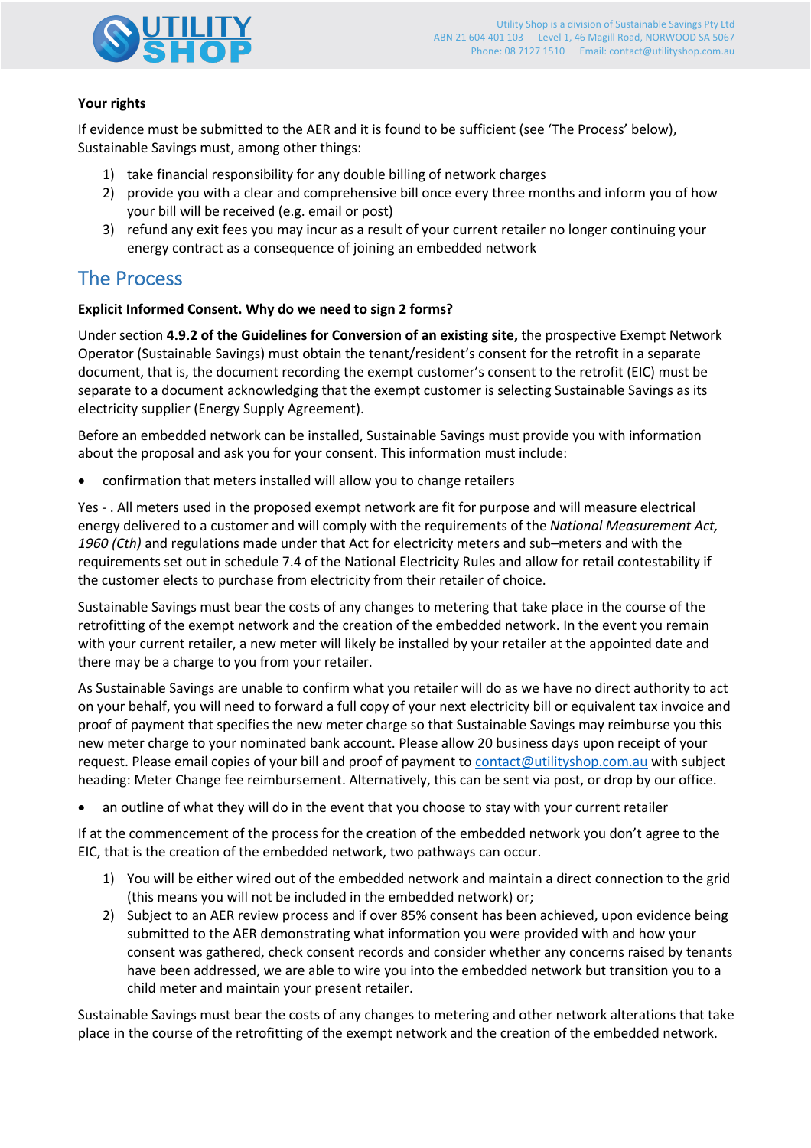

#### **Your rights**

If evidence must be submitted to the AER and it is found to be sufficient (see 'The Process' below), Sustainable Savings must, among other things:

- 1) take financial responsibility for any double billing of network charges
- 2) provide you with a clear and comprehensive bill once every three months and inform you of how your bill will be received (e.g. email or post)
- 3) refund any exit fees you may incur as a result of your current retailer no longer continuing your energy contract as a consequence of joining an embedded network

## The Process

#### **Explicit Informed Consent. Why do we need to sign 2 forms?**

Under section **4.9.2 of the Guidelines for Conversion of an existing site,** the prospective Exempt Network Operator (Sustainable Savings) must obtain the tenant/resident's consent for the retrofit in a separate document, that is, the document recording the exempt customer's consent to the retrofit (EIC) must be separate to a document acknowledging that the exempt customer is selecting Sustainable Savings as its electricity supplier (Energy Supply Agreement).

Before an embedded network can be installed, Sustainable Savings must provide you with information about the proposal and ask you for your consent. This information must include:

• confirmation that meters installed will allow you to change retailers

Yes - . All meters used in the proposed exempt network are fit for purpose and will measure electrical energy delivered to a customer and will comply with the requirements of the *National Measurement Act, 1960 (Cth)* and regulations made under that Act for electricity meters and sub–meters and with the requirements set out in schedule 7.4 of the National Electricity Rules and allow for retail contestability if the customer elects to purchase from electricity from their retailer of choice.

Sustainable Savings must bear the costs of any changes to metering that take place in the course of the retrofitting of the exempt network and the creation of the embedded network. In the event you remain with your current retailer, a new meter will likely be installed by your retailer at the appointed date and there may be a charge to you from your retailer.

As Sustainable Savings are unable to confirm what you retailer will do as we have no direct authority to act on your behalf, you will need to forward a full copy of your next electricity bill or equivalent tax invoice and proof of payment that specifies the new meter charge so that Sustainable Savings may reimburse you this new meter charge to your nominated bank account. Please allow 20 business days upon receipt of your request. Please email copies of your bill and proof of payment to contact@utilityshop.com.au with subject heading: Meter Change fee reimbursement. Alternatively, this can be sent via post, or drop by our office.

• an outline of what they will do in the event that you choose to stay with your current retailer

If at the commencement of the process for the creation of the embedded network you don't agree to the EIC, that is the creation of the embedded network, two pathways can occur.

- 1) You will be either wired out of the embedded network and maintain a direct connection to the grid (this means you will not be included in the embedded network) or;
- 2) Subject to an AER review process and if over 85% consent has been achieved, upon evidence being submitted to the AER demonstrating what information you were provided with and how your consent was gathered, check consent records and consider whether any concerns raised by tenants have been addressed, we are able to wire you into the embedded network but transition you to a child meter and maintain your present retailer.

Sustainable Savings must bear the costs of any changes to metering and other network alterations that take place in the course of the retrofitting of the exempt network and the creation of the embedded network.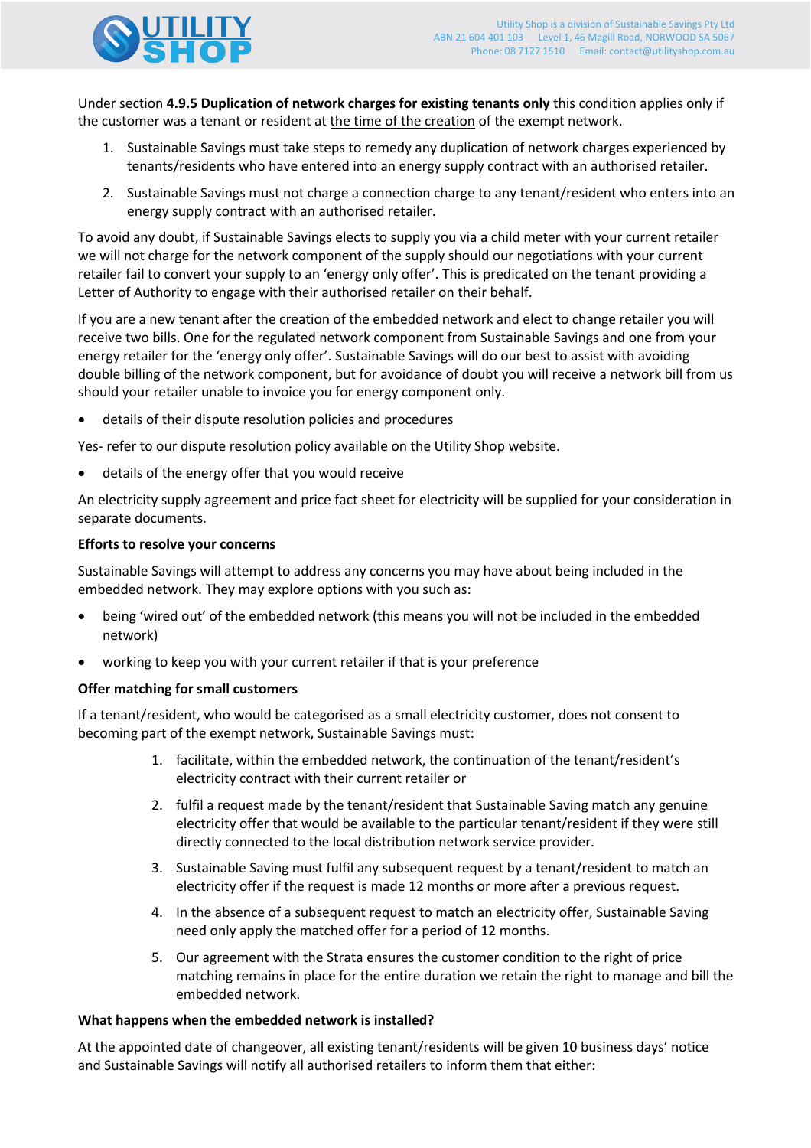

Under section **4.9.5 Duplication of network charges for existing tenants only** this condition applies only if the customer was a tenant or resident at the time of the creation of the exempt network.

- 1. Sustainable Savings must take steps to remedy any duplication of network charges experienced by tenants/residents who have entered into an energy supply contract with an authorised retailer.
- 2. Sustainable Savings must not charge a connection charge to any tenant/resident who enters into an energy supply contract with an authorised retailer.

To avoid any doubt, if Sustainable Savings elects to supply you via a child meter with your current retailer we will not charge for the network component of the supply should our negotiations with your current retailer fail to convert your supply to an 'energy only offer'. This is predicated on the tenant providing a Letter of Authority to engage with their authorised retailer on their behalf.

If you are a new tenant after the creation of the embedded network and elect to change retailer you will receive two bills. One for the regulated network component from Sustainable Savings and one from your energy retailer for the 'energy only offer'. Sustainable Savings will do our best to assist with avoiding double billing of the network component, but for avoidance of doubt you will receive a network bill from us should your retailer unable to invoice you for energy component only.

• details of their dispute resolution policies and procedures

Yes- refer to our dispute resolution policy available on the Utility Shop website.

• details of the energy offer that you would receive

An electricity supply agreement and price fact sheet for electricity will be supplied for your consideration in separate documents.

#### **Efforts to resolve your concerns**

Sustainable Savings will attempt to address any concerns you may have about being included in the embedded network. They may explore options with you such as:

- being 'wired out' of the embedded network (this means you will not be included in the embedded network)
- working to keep you with your current retailer if that is your preference

#### **Offer matching for small customers**

If a tenant/resident, who would be categorised as a small electricity customer, does not consent to becoming part of the exempt network, Sustainable Savings must:

- 1. facilitate, within the embedded network, the continuation of the tenant/resident's electricity contract with their current retailer or
- 2. fulfil a request made by the tenant/resident that Sustainable Saving match any genuine electricity offer that would be available to the particular tenant/resident if they were still directly connected to the local distribution network service provider.
- 3. Sustainable Saving must fulfil any subsequent request by a tenant/resident to match an electricity offer if the request is made 12 months or more after a previous request.
- 4. In the absence of a subsequent request to match an electricity offer, Sustainable Saving need only apply the matched offer for a period of 12 months.
- 5. Our agreement with the Strata ensures the customer condition to the right of price matching remains in place for the entire duration we retain the right to manage and bill the embedded network.

#### **What happens when the embedded network is installed?**

At the appointed date of changeover, all existing tenant/residents will be given 10 business days' notice and Sustainable Savings will notify all authorised retailers to inform them that either: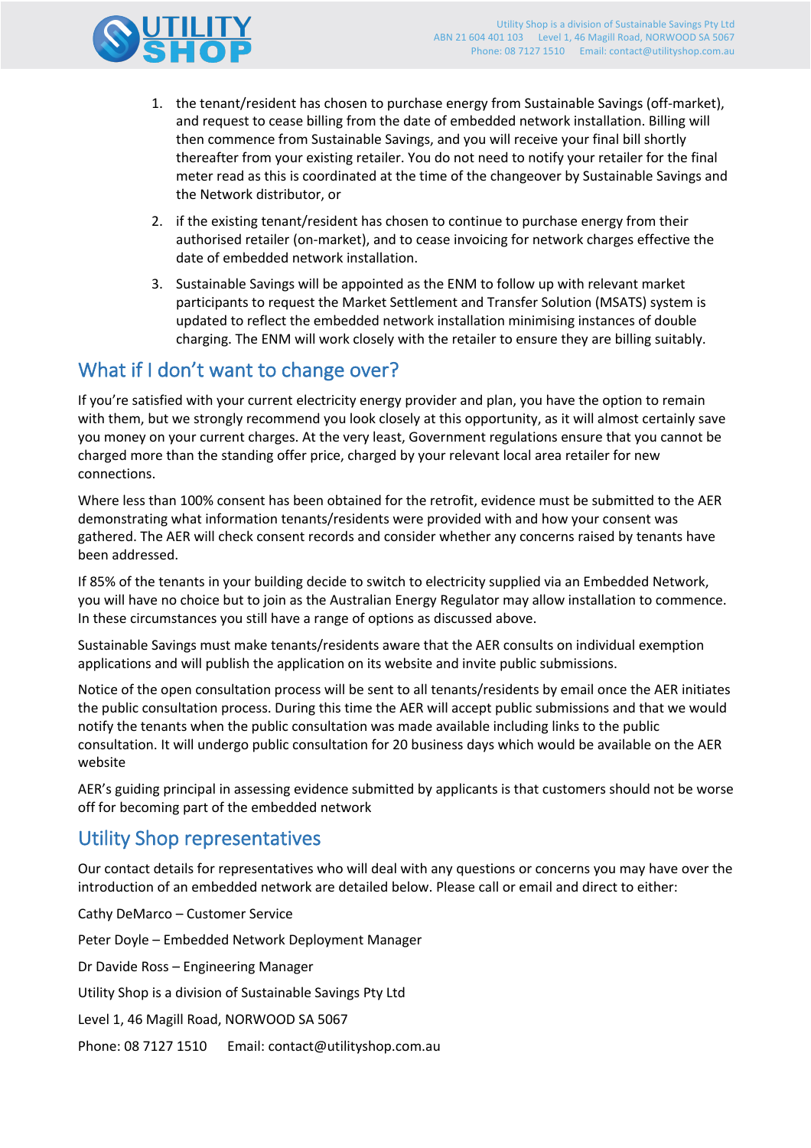

- 1. the tenant/resident has chosen to purchase energy from Sustainable Savings (off-market), and request to cease billing from the date of embedded network installation. Billing will then commence from Sustainable Savings, and you will receive your final bill shortly thereafter from your existing retailer. You do not need to notify your retailer for the final meter read as this is coordinated at the time of the changeover by Sustainable Savings and the Network distributor, or
- 2. if the existing tenant/resident has chosen to continue to purchase energy from their authorised retailer (on-market), and to cease invoicing for network charges effective the date of embedded network installation.
- 3. Sustainable Savings will be appointed as the ENM to follow up with relevant market participants to request the Market Settlement and Transfer Solution (MSATS) system is updated to reflect the embedded network installation minimising instances of double charging. The ENM will work closely with the retailer to ensure they are billing suitably.

## What if I don't want to change over?

If you're satisfied with your current electricity energy provider and plan, you have the option to remain with them, but we strongly recommend you look closely at this opportunity, as it will almost certainly save you money on your current charges. At the very least, Government regulations ensure that you cannot be charged more than the standing offer price, charged by your relevant local area retailer for new connections.

Where less than 100% consent has been obtained for the retrofit, evidence must be submitted to the AER demonstrating what information tenants/residents were provided with and how your consent was gathered. The AER will check consent records and consider whether any concerns raised by tenants have been addressed.

If 85% of the tenants in your building decide to switch to electricity supplied via an Embedded Network, you will have no choice but to join as the Australian Energy Regulator may allow installation to commence. In these circumstances you still have a range of options as discussed above.

Sustainable Savings must make tenants/residents aware that the AER consults on individual exemption applications and will publish the application on its website and invite public submissions.

Notice of the open consultation process will be sent to all tenants/residents by email once the AER initiates the public consultation process. During this time the AER will accept public submissions and that we would notify the tenants when the public consultation was made available including links to the public consultation. It will undergo public consultation for 20 business days which would be available on the AER website

AER's guiding principal in assessing evidence submitted by applicants is that customers should not be worse off for becoming part of the embedded network

## Utility Shop representatives

Our contact details for representatives who will deal with any questions or concerns you may have over the introduction of an embedded network are detailed below. Please call or email and direct to either:

Cathy DeMarco – Customer Service

Peter Doyle – Embedded Network Deployment Manager

Dr Davide Ross – Engineering Manager

Utility Shop is a division of Sustainable Savings Pty Ltd

Level 1, 46 Magill Road, NORWOOD SA 5067

Phone: 08 7127 1510 Email: contact@utilityshop.com.au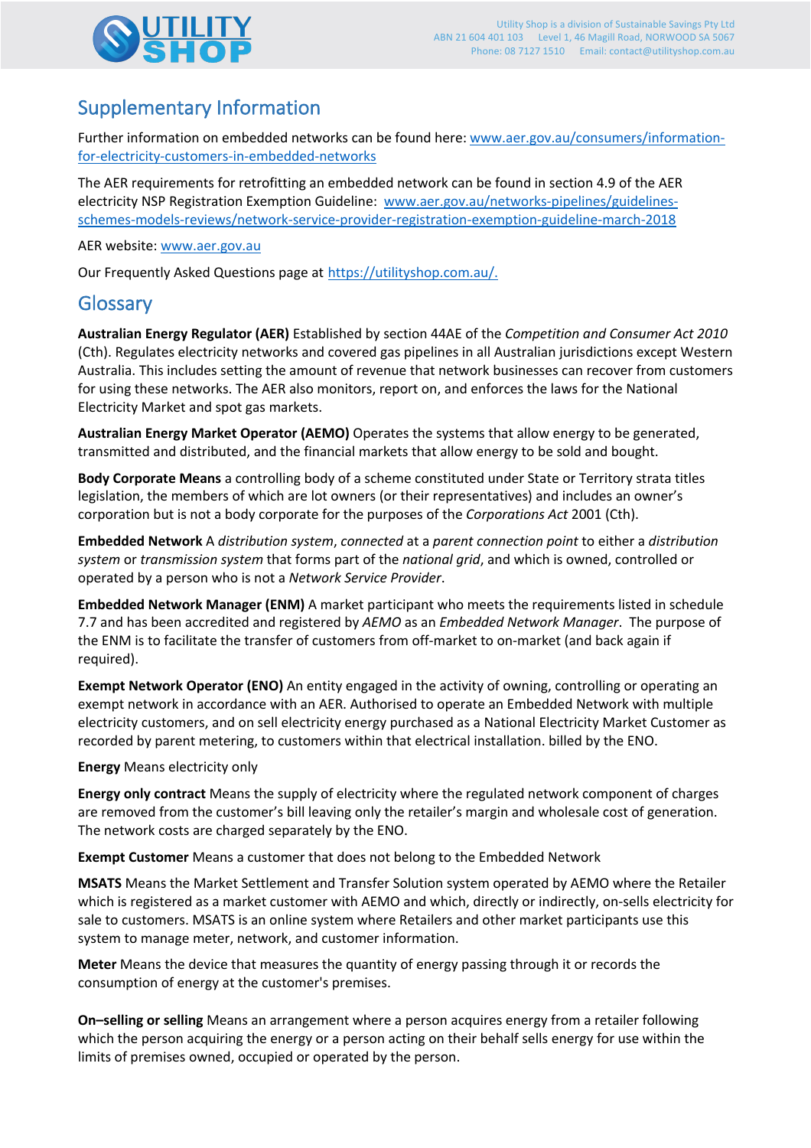

# Supplementary Information

Further information on embedded networks can be found here: www.aer.gov.au/consumers/informationfor-electricity-customers-in-embedded-networks

The AER requirements for retrofitting an embedded network can be found in section 4.9 of the AER electricity NSP Registration Exemption Guideline: www.aer.gov.au/networks-pipelines/guidelinesschemes-models-reviews/network-service-provider-registration-exemption-guideline-march-2018

AER website: www.aer.gov.au

Our Frequently Asked Questions page at https://utilityshop.com.au/.

## Glossary

**Australian Energy Regulator (AER)** Established by section 44AE of the *Competition and Consumer Act 2010*  (Cth). Regulates electricity networks and covered gas pipelines in all Australian jurisdictions except Western Australia. This includes setting the amount of revenue that network businesses can recover from customers for using these networks. The AER also monitors, report on, and enforces the laws for the National Electricity Market and spot gas markets.

**Australian Energy Market Operator (AEMO)** Operates the systems that allow energy to be generated, transmitted and distributed, and the financial markets that allow energy to be sold and bought.

**Body Corporate Means** a controlling body of a scheme constituted under State or Territory strata titles legislation, the members of which are lot owners (or their representatives) and includes an owner's corporation but is not a body corporate for the purposes of the *Corporations Act* 2001 (Cth).

**Embedded Network** A *distribution system*, *connected* at a *parent connection point* to either a *distribution system* or *transmission system* that forms part of the *national grid*, and which is owned, controlled or operated by a person who is not a *Network Service Provider*.

**Embedded Network Manager (ENM)** A market participant who meets the requirements listed in schedule 7.7 and has been accredited and registered by *AEMO* as an *Embedded Network Manager*. The purpose of the ENM is to facilitate the transfer of customers from off-market to on-market (and back again if required).

**Exempt Network Operator (ENO)** An entity engaged in the activity of owning, controlling or operating an exempt network in accordance with an AER. Authorised to operate an Embedded Network with multiple electricity customers, and on sell electricity energy purchased as a National Electricity Market Customer as recorded by parent metering, to customers within that electrical installation. billed by the ENO.

**Energy** Means electricity only

**Energy only contract** Means the supply of electricity where the regulated network component of charges are removed from the customer's bill leaving only the retailer's margin and wholesale cost of generation. The network costs are charged separately by the ENO.

**Exempt Customer** Means a customer that does not belong to the Embedded Network

**MSATS** Means the Market Settlement and Transfer Solution system operated by AEMO where the Retailer which is registered as a market customer with AEMO and which, directly or indirectly, on-sells electricity for sale to customers. MSATS is an online system where Retailers and other market participants use this system to manage meter, network, and customer information.

**Meter** Means the device that measures the quantity of energy passing through it or records the consumption of energy at the customer's premises.

**On–selling or selling** Means an arrangement where a person acquires energy from a retailer following which the person acquiring the energy or a person acting on their behalf sells energy for use within the limits of premises owned, occupied or operated by the person.